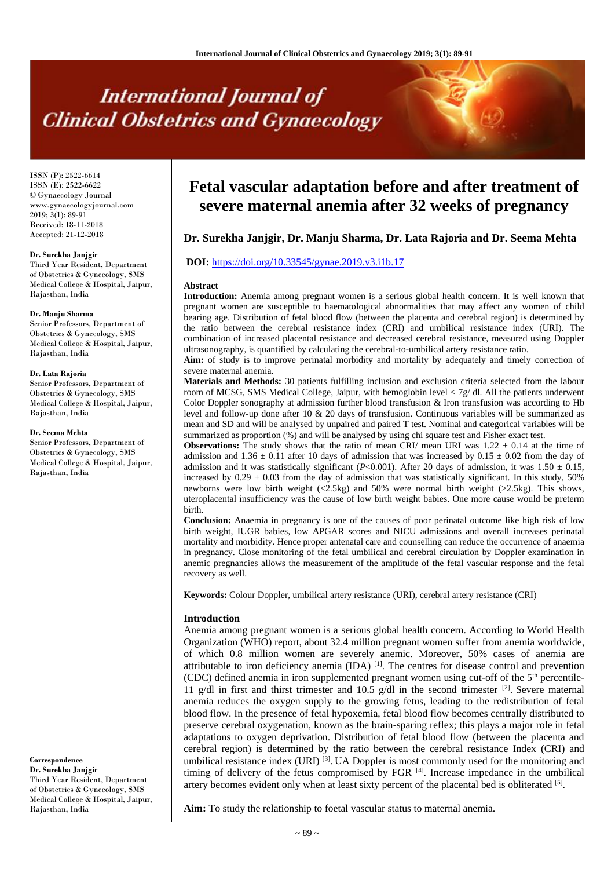# **International Journal of Clinical Obstetrics and Gynaecology**

ISSN (P): 2522-6614 ISSN (E): 2522-6622 © Gynaecology Journal www.gynaecologyjournal.com  $2019$ ;  $3(1)$ : 89-91 Received: 18-11-2018 Accepted: 21-12-2018

#### **Dr. Surekha Janjgir**

Third Year Resident, Department of Obstetrics & Gynecology, SMS Medical College & Hospital, Jaipur, Rajasthan, India

#### **Dr. Manju Sharma**

Senior Professors, Department of Obstetrics & Gynecology, SMS Medical College & Hospital, Jaipur, Rajasthan, India

#### **Dr. Lata Rajoria**

Senior Professors, Department of Obstetrics & Gynecology, SMS Medical College & Hospital, Jaipur, Rajasthan, India

#### **Dr. Seema Mehta**

Senior Professors, Department of Obstetrics & Gynecology, SMS Medical College & Hospital, Jaipur, Rajasthan, India

**Correspondence Dr. Surekha Janjgir** Third Year Resident, Department of Obstetrics & Gynecology, SMS Medical College & Hospital, Jaipur, Rajasthan, India

# **Fetal vascular adaptation before and after treatment of severe maternal anemia after 32 weeks of pregnancy**

# **Dr. Surekha Janjgir, Dr. Manju Sharma, Dr. Lata Rajoria and Dr. Seema Mehta**

## **DOI:** <https://doi.org/10.33545/gynae.2019.v3.i1b.17>

#### **Abstract**

**Introduction:** Anemia among pregnant women is a serious global health concern. It is well known that pregnant women are susceptible to haematological abnormalities that may affect any women of child bearing age. Distribution of fetal blood flow (between the placenta and cerebral region) is determined by the ratio between the cerebral resistance index (CRI) and umbilical resistance index (URI). The combination of increased placental resistance and decreased cerebral resistance, measured using Doppler ultrasonography, is quantified by calculating the cerebral-to-umbilical artery resistance ratio.

**Aim:** of study is to improve perinatal morbidity and mortality by adequately and timely correction of severe maternal anemia.

**Materials and Methods:** 30 patients fulfilling inclusion and exclusion criteria selected from the labour room of MCSG, SMS Medical College, Jaipur, with hemoglobin level < 7g/ dl. All the patients underwent Color Doppler sonography at admission further blood transfusion & Iron transfusion was according to Hb level and follow-up done after 10 & 20 days of transfusion. Continuous variables will be summarized as mean and SD and will be analysed by unpaired and paired T test. Nominal and categorical variables will be summarized as proportion (%) and will be analysed by using chi square test and Fisher exact test.

**Observations:** The study shows that the ratio of mean CRI/ mean URI was  $1.22 \pm 0.14$  at the time of admission and  $1.36 \pm 0.11$  after 10 days of admission that was increased by  $0.15 \pm 0.02$  from the day of admission and it was statistically significant ( $P<0.001$ ). After 20 days of admission, it was 1.50  $\pm$  0.15, increased by  $0.29 \pm 0.03$  from the day of admission that was statistically significant. In this study, 50% newborns were low birth weight (<2.5kg) and 50% were normal birth weight (>2.5kg). This shows, uteroplacental insufficiency was the cause of low birth weight babies. One more cause would be preterm birth.

**Conclusion:** Anaemia in pregnancy is one of the causes of poor perinatal outcome like high risk of low birth weight, IUGR babies, low APGAR scores and NICU admissions and overall increases perinatal mortality and morbidity. Hence proper antenatal care and counselling can reduce the occurrence of anaemia in pregnancy. Close monitoring of the fetal umbilical and cerebral circulation by Doppler examination in anemic pregnancies allows the measurement of the amplitude of the fetal vascular response and the fetal recovery as well.

**Keywords:** Colour Doppler, umbilical artery resistance (URI), cerebral artery resistance (CRI)

#### **Introduction**

Anemia among pregnant women is a serious global health concern. According to World Health Organization (WHO) report, about 32.4 million pregnant women suffer from anemia worldwide, of which 0.8 million women are severely anemic. Moreover, 50% cases of anemia are attributable to iron deficiency anemia  $(IDA)$ <sup>[1]</sup>. The centres for disease control and prevention (CDC) defined anemia in iron supplemented pregnant women using cut-off of the  $5<sup>th</sup>$  percentile-11 g/dl in first and thirst trimester and 10.5 g/dl in the second trimester  $^{[2]}$ . Severe maternal anemia reduces the oxygen supply to the growing fetus, leading to the redistribution of fetal blood flow. In the presence of fetal hypoxemia, fetal blood flow becomes centrally distributed to preserve cerebral oxygenation, known as the brain-sparing reflex; this plays a major role in fetal adaptations to oxygen deprivation. Distribution of fetal blood flow (between the placenta and cerebral region) is determined by the ratio between the cerebral resistance Index (CRI) and umbilical resistance index  $(URI)$ <sup>[3]</sup>. UA Doppler is most commonly used for the monitoring and timing of delivery of the fetus compromised by FGR  $^{[4]}$ . Increase impedance in the umbilical artery becomes evident only when at least sixty percent of the placental bed is obliterated [5].

**Aim:** To study the relationship to foetal vascular status to maternal anemia.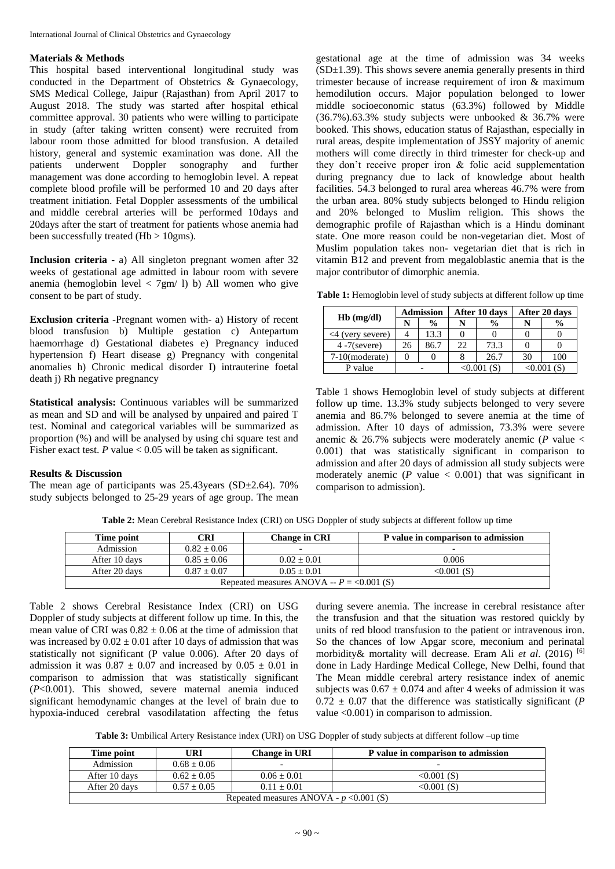# **Materials & Methods**

This hospital based interventional longitudinal study was conducted in the Department of Obstetrics & Gynaecology, SMS Medical College, Jaipur (Rajasthan) from April 2017 to August 2018. The study was started after hospital ethical committee approval. 30 patients who were willing to participate in study (after taking written consent) were recruited from labour room those admitted for blood transfusion. A detailed history, general and systemic examination was done. All the patients underwent Doppler sonography and further management was done according to hemoglobin level. A repeat complete blood profile will be performed 10 and 20 days after treatment initiation. Fetal Doppler assessments of the umbilical and middle cerebral arteries will be performed 10days and 20days after the start of treatment for patients whose anemia had been successfully treated  $(Hb > 10gms)$ .

**Inclusion criteria -** a) All singleton pregnant women after 32 weeks of gestational age admitted in labour room with severe anemia (hemoglobin level  $\langle 7gm/1\rangle$  b) All women who give consent to be part of study.

**Exclusion criteria -**Pregnant women with- a) History of recent blood transfusion b) Multiple gestation c) Antepartum haemorrhage d) Gestational diabetes e) Pregnancy induced hypertension f) Heart disease g) Pregnancy with congenital anomalies h) Chronic medical disorder I) intrauterine foetal death j) Rh negative pregnancy

**Statistical analysis:** Continuous variables will be summarized as mean and SD and will be analysed by unpaired and paired T test. Nominal and categorical variables will be summarized as proportion (%) and will be analysed by using chi square test and Fisher exact test.  $P$  value  $< 0.05$  will be taken as significant.

# **Results & Discussion**

The mean age of participants was 25.43years (SD±2.64). 70% study subjects belonged to 25-29 years of age group. The mean gestational age at the time of admission was 34 weeks  $(SD\pm1.39)$ . This shows severe anemia generally presents in third trimester because of increase requirement of iron & maximum hemodilution occurs. Major population belonged to lower middle socioeconomic status (63.3%) followed by Middle  $(36.7\%)$ .63.3% study subjects were unbooked & 36.7% were booked. This shows, education status of Rajasthan, especially in rural areas, despite implementation of JSSY majority of anemic mothers will come directly in third trimester for check-up and they don't receive proper iron & folic acid supplementation during pregnancy due to lack of knowledge about health facilities. 54.3 belonged to rural area whereas 46.7% were from the urban area. 80% study subjects belonged to Hindu religion and 20% belonged to Muslim religion. This shows the demographic profile of Rajasthan which is a Hindu dominant state. One more reason could be non-vegetarian diet. Most of Muslim population takes non- vegetarian diet that is rich in vitamin B12 and prevent from megaloblastic anemia that is the major contributor of dimorphic anemia.

| <b>Table 1:</b> Hemoglobin level of study subjects at different follow up time |  |  |  |
|--------------------------------------------------------------------------------|--|--|--|
|                                                                                |  |  |  |

|                      | <b>Admission</b> |               | After 10 days |               | After 20 days |               |
|----------------------|------------------|---------------|---------------|---------------|---------------|---------------|
| $Hb$ (mg/dl)         | N                | $\frac{0}{0}$ |               | $\frac{0}{0}$ |               | $\frac{0}{0}$ |
| $\leq$ (very severe) |                  | 13.3          |               |               |               |               |
| $4 - 7$ (severe)     | 26               | 86.7          | 22            | 73.3          |               |               |
| $7-10$ (moderate)    |                  |               |               | 26.7          | 30            | 100           |
| P value              |                  |               | <0.001(S)     |               | $< 0.001$ (S) |               |

Table 1 shows Hemoglobin level of study subjects at different follow up time. 13.3% study subjects belonged to very severe anemia and 86.7% belonged to severe anemia at the time of admission. After 10 days of admission, 73.3% were severe anemic & 26.7% subjects were moderately anemic (*P* value < 0.001) that was statistically significant in comparison to admission and after 20 days of admission all study subjects were moderately anemic  $(P \text{ value} < 0.001)$  that was significant in comparison to admission).

**Table 2:** Mean Cerebral Resistance Index (CRI) on USG Doppler of study subjects at different follow up time

| $\mathbb C\mathbf{RI}$<br>Time point                          |               | <b>Change in CRI</b> | P value in comparison to admission |  |  |
|---------------------------------------------------------------|---------------|----------------------|------------------------------------|--|--|
| Admission                                                     | $0.82 + 0.06$ | -                    | $\overline{\phantom{0}}$           |  |  |
| After 10 days                                                 | $0.85 + 0.06$ | $0.02 + 0.01$        | 0.006                              |  |  |
| After 20 days<br>$0.05 + 0.01$<br>$0.87 \pm 0.07$<br>0.001(S) |               |                      |                                    |  |  |
| Repeated measures ANOVA -- $P = 0.001$ (S)                    |               |                      |                                    |  |  |

Table 2 shows Cerebral Resistance Index (CRI) on USG Doppler of study subjects at different follow up time. In this, the mean value of CRI was  $0.82 \pm 0.06$  at the time of admission that was increased by  $0.02 \pm 0.01$  after 10 days of admission that was statistically not significant (P value 0.006). After 20 days of admission it was  $0.87 \pm 0.07$  and increased by  $0.05 \pm 0.01$  in comparison to admission that was statistically significant (*P*<0.001). This showed, severe maternal anemia induced significant hemodynamic changes at the level of brain due to hypoxia-induced cerebral vasodilatation affecting the fetus

during severe anemia. The increase in cerebral resistance after the transfusion and that the situation was restored quickly by units of red blood transfusion to the patient or intravenous iron. So the chances of low Apgar score, meconium and perinatal morbidity& mortality will decrease. Eram Ali *et al*. (2016) [6] done in Lady Hardinge Medical College, New Delhi, found that The Mean middle cerebral artery resistance index of anemic subjects was  $0.67 \pm 0.074$  and after 4 weeks of admission it was  $0.72 \pm 0.07$  that the difference was statistically significant (*P* value <0.001) in comparison to admission.

**Table 3:** Umbilical Artery Resistance index (URI) on USG Doppler of study subjects at different follow –up time

| Time point                                                       | URI           | <b>Change in URI</b> | P value in comparison to admission |  |  |  |
|------------------------------------------------------------------|---------------|----------------------|------------------------------------|--|--|--|
| Admission                                                        | $0.68 + 0.06$ |                      |                                    |  |  |  |
| After 10 days                                                    | $0.62 + 0.05$ | $0.06 + 0.01$        | $< 0.001$ (S)                      |  |  |  |
| $0.11 + 0.01$<br>After 20 days<br>$0.57 + 0.05$<br>$< 0.001$ (S) |               |                      |                                    |  |  |  |
| Repeated measures ANOVA - $p < 0.001$ (S)                        |               |                      |                                    |  |  |  |